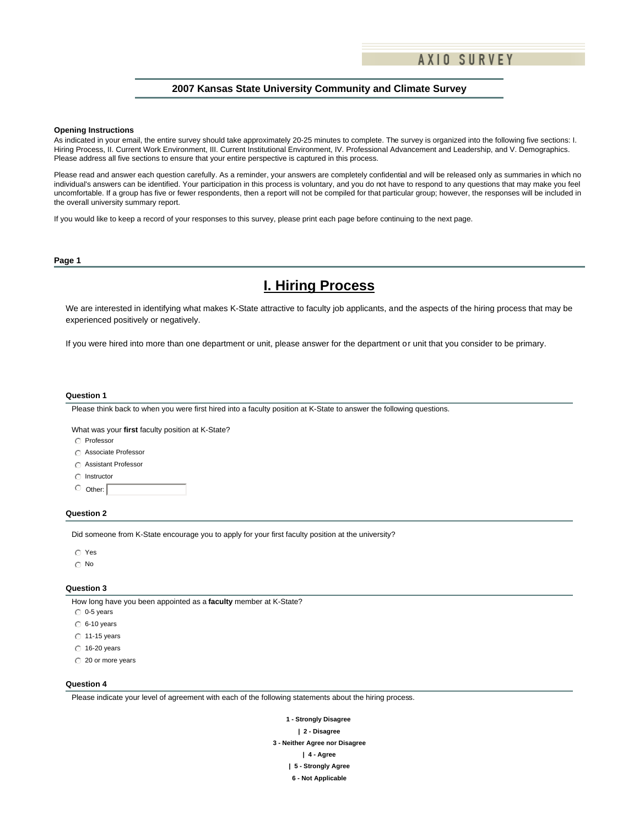### **2007 Kansas State University Community and Climate Survey**

#### **Opening Instructions**

As indicated in your email, the entire survey should take approximately 20-25 minutes to complete. The survey is organized into the following five sections: I. Hiring Process, II. Current Work Environment, III. Current Institutional Environment, IV. Professional Advancement and Leadership, and V. Demographics. Please address all five sections to ensure that your entire perspective is captured in this process.

Please read and answer each question carefully. As a reminder, your answers are completely confidential and will be released only as summaries in which no individual's answers can be identified. Your participation in this process is voluntary, and you do not have to respond to any questions that may make you feel uncomfortable. If a group has five or fewer respondents, then a report will not be compiled for that particular group; however, the responses will be included in the overall university summary report.

If you would like to keep a record of your responses to this survey, please print each page before continuing to the next page.

#### **Page 1**

# **I. Hiring Process**

We are interested in identifying what makes K-State attractive to faculty job applicants, and the aspects of the hiring process that may be experienced positively or negatively.

If you were hired into more than one department or unit, please answer for the department or unit that you consider to be primary.

#### **Question 1**

Please think back to when you were first hired into a faculty position at K-State to answer the following questions.

What was your **first** faculty position at K-State?

- $\cap$  Professor
- C Associate Professor
- **C** Assistant Professor
- $\bigcap$  Instructor
- $\circ$  Other:

#### **Question 2**

Did someone from K-State encourage you to apply for your first faculty position at the university?

- $\odot$  Yes
- $\odot$  No

#### **Question 3**

How long have you been appointed as a **faculty** member at K-State?

- $_0$  0-5 years
- $C$  6-10 years
- $\degree$  11-15 years
- $\odot$  16-20 years
- $\degree$  20 or more years

#### **Question 4**

Please indicate your level of agreement with each of the following statements about the hiring process.

**1 - Strongly Disagree | 2 - Disagree 3 - Neither Agree nor Disagree | 4 - Agree | 5 - Strongly Agree 6 - Not Applicable**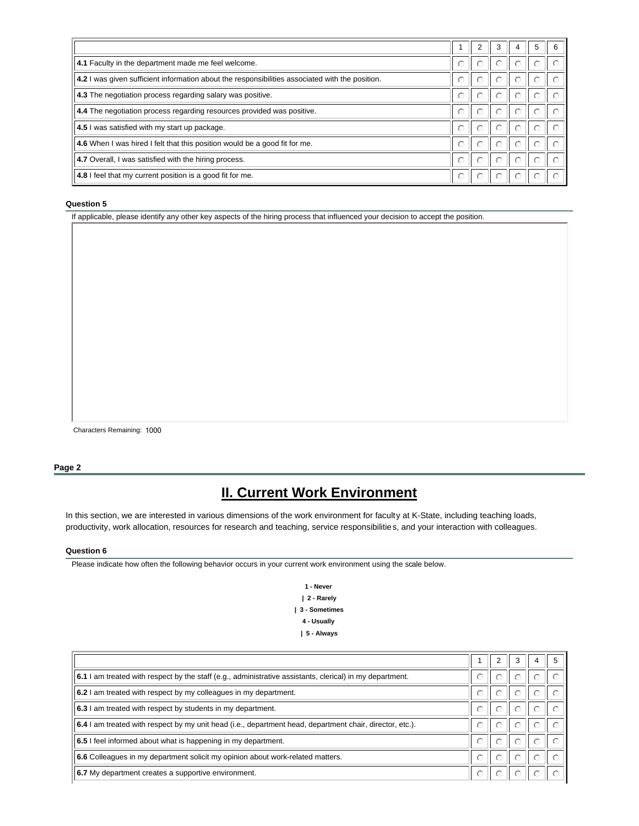|                                                                                                 |           |   | 3         | 5 |  |
|-------------------------------------------------------------------------------------------------|-----------|---|-----------|---|--|
| 4.1 Faculty in the department made me feel welcome.                                             | $\odot$   | ⊙ |           |   |  |
| 4.2 I was given sufficient information about the responsibilities associated with the position. | ⊙         | ⊙ | C.        |   |  |
| 4.3 The negotiation process regarding salary was positive.                                      | $\odot$   | O | ∩         |   |  |
| 4.4 The negotiation process regarding resources provided was positive.                          | $\odot$   |   | ∩         |   |  |
| 4.5 I was satisfied with my start up package.                                                   | ⊙         |   | C         |   |  |
| 4.6 When I was hired I felt that this position would be a good fit for me.                      | $\subset$ |   |           |   |  |
| 4.7 Overall, I was satisfied with the hiring process.                                           | ⊙         | ∩ | C.        |   |  |
| 4.8 I feel that my current position is a good fit for me.                                       | ⊙         |   | $(\cdot)$ |   |  |

If applicable, please identify any other key aspects of the hiring process that influenced your decision to accept the position.

Characters Remaining: 1000

### **Page 2**

# **II. Current Work Environment**

In this section, we are interested in various dimensions of the work environment for faculty at K-State, including teaching loads, productivity, work allocation, resources for research and teaching, service responsibilities, and your interaction with colleagues.

#### **Question 6**

Please indicate how often the following behavior occurs in your current work environment using the scale below.

**1 - Never | 2 - Rarely | 3 - Sometimes 4 - Usually | 5 - Always** 

| 6.1 I am treated with respect by the staff (e.g., administrative assistants, clerical) in my department. | $\bigcirc$ | O |  |  |
|----------------------------------------------------------------------------------------------------------|------------|---|--|--|
| 6.2 I am treated with respect by my colleagues in my department.                                         |            |   |  |  |
| 6.3 I am treated with respect by students in my department.                                              | ∩          |   |  |  |
| 6.4 I am treated with respect by my unit head (i.e., department head, department chair, director, etc.). |            |   |  |  |
| 6.5 I feel informed about what is happening in my department.                                            | $\cap$     |   |  |  |
| 6.6 Colleagues in my department solicit my opinion about work-related matters.                           |            |   |  |  |
| 6.7 My department creates a supportive environment.                                                      |            |   |  |  |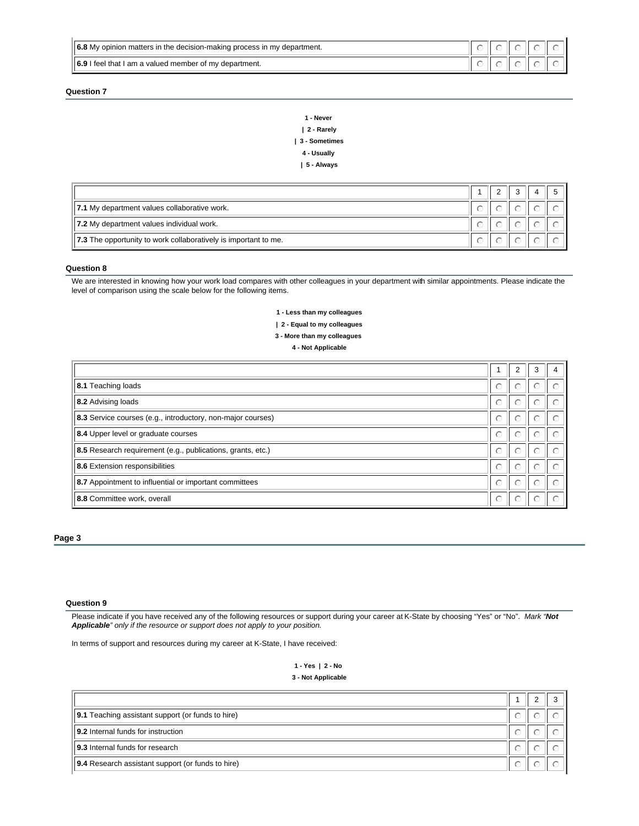| $\parallel$ 6.8 My opinion matters in the decision-making process in my department. |  |  |  |
|-------------------------------------------------------------------------------------|--|--|--|
| $  6.9$ I feel that I am a valued member of my department.                          |  |  |  |

| 1 - Never     |
|---------------|
| 2 - Rarely    |
| 3 - Sometimes |
| 4 - Usually   |
| 5 - Always    |

| 7.1 My department values collaborative work.                    |  |  |  |
|-----------------------------------------------------------------|--|--|--|
| 7.2 My department values individual work.                       |  |  |  |
| 7.3 The opportunity to work collaboratively is important to me. |  |  |  |

### **Question 8**

We are interested in knowing how your work load compares with other colleagues in your department with similar appointments. Please indicate the level of comparison using the scale below for the following items.

> **1 - Less than my colleagues | 2 - Equal to my colleagues 3 - More than my colleagues**

**4 - Not Applicable**

| 8.1 Teaching loads                                          | ⊙          | $(\cdot)$ |                        |   |
|-------------------------------------------------------------|------------|-----------|------------------------|---|
| 8.2 Advising loads                                          | $\bigcirc$ | ∩         |                        |   |
| 8.3 Service courses (e.g., introductory, non-major courses) | $\odot$    |           |                        |   |
| 8.4 Upper level or graduate courses                         | $\bigcap$  |           |                        |   |
| 8.5 Research requirement (e.g., publications, grants, etc.) | $\bigcap$  |           |                        |   |
| 8.6 Extension responsibilities                              | ⊙          |           |                        |   |
| 8.7 Appointment to influential or important committees      | $\bigcap$  | ∩         | $\left( \cdot \right)$ | C |
| 8.8 Committee work, overall                                 | $\bigcirc$ |           |                        |   |

**Page 3**

### **Question 9**

Please indicate if you have received any of the following resources or support during your career at K-State by choosing "Yes" or "No". *Mark "Not Applicable" only if the resource or support does not apply to your position.* 

In terms of support and resources during my career at K-State, I have received:

**1 - Yes | 2 - No 3 - Not Applicable**

| <b>9.1</b> Teaching assistant support (or funds to hire) |  |  |
|----------------------------------------------------------|--|--|
| 9.2 Internal funds for instruction                       |  |  |
| 9.3 Internal funds for research                          |  |  |
| <b>9.4</b> Research assistant support (or funds to hire) |  |  |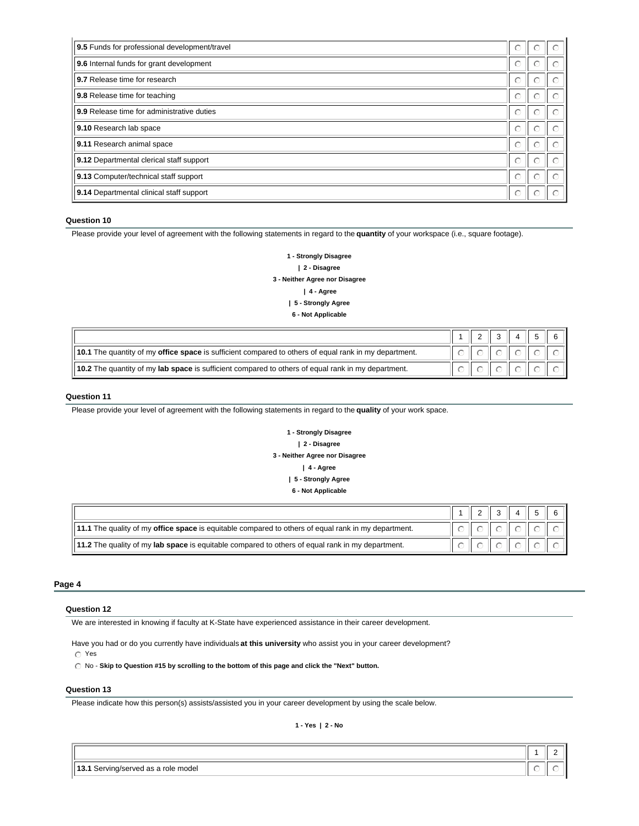| 9.5 Funds for professional development/travel | $\odot$    |   |  |
|-----------------------------------------------|------------|---|--|
| 9.6 Internal funds for grant development      | ⊙          |   |  |
| 9.7 Release time for research                 | ⊙          | C |  |
| 9.8 Release time for teaching                 | $\bigcirc$ | ⊙ |  |
| 9.9 Release time for administrative duties    | ∩          |   |  |
| 9.10 Research lab space                       | ∩          | C |  |
| 9.11 Research animal space                    | $\bigcirc$ | ∩ |  |
| 9.12 Departmental clerical staff support      | ∩          |   |  |
| 9.13 Computer/technical staff support         | $\bigcap$  | ∩ |  |
| 9.14 Departmental clinical staff support      | $\odot$    |   |  |

Please provide your level of agreement with the following statements in regard to the **quantity** of your workspace (i.e., square footage).

**1 - Strongly Disagree | 2 - Disagree 3 - Neither Agree nor Disagree | 4 - Agree | 5 - Strongly Agree 6 - Not Applicable**

|                                                                                                       |  | $\mathbb{E} \left[ \begin{array}{ccc} 1 & \mathbf{1} & \mathbf{1} & \mathbf{1} & \mathbf{1} & \mathbf{1} & \mathbf{1} & \mathbf{1} & \mathbf{1} & \mathbf{1} & \mathbf{1} & \mathbf{1} & \mathbf{1} & \mathbf{1} & \mathbf{1} & \mathbf{1} & \mathbf{1} & \mathbf{1} & \mathbf{1} & \mathbf{1} & \mathbf{1} & \mathbf{1} & \mathbf{1} & \mathbf{1} & \mathbf{1} & \mathbf{1} & \mathbf{1} & \mathbf{1} & \mathbf{1} & \mathbf{1$ |  |  |
|-------------------------------------------------------------------------------------------------------|--|----------------------------------------------------------------------------------------------------------------------------------------------------------------------------------------------------------------------------------------------------------------------------------------------------------------------------------------------------------------------------------------------------------------------------------|--|--|
| 10.1 The quantity of my office space is sufficient compared to others of equal rank in my department. |  |                                                                                                                                                                                                                                                                                                                                                                                                                                  |  |  |
| 10.2 The quantity of my lab space is sufficient compared to others of equal rank in my department.    |  |                                                                                                                                                                                                                                                                                                                                                                                                                                  |  |  |

### **Question 11**

Please provide your level of agreement with the following statements in regard to the **quality** of your work space.

**1 - Strongly Disagree | 2 - Disagree 3 - Neither Agree nor Disagree | 4 - Agree | 5 - Strongly Agree 6 - Not Applicable**

|                                                                                                            |  |  | $\vert 1 \vert 2 \vert \vert 1 \vert 3 \vert \vert 1 \vert 4 \vert \vert 1 \vert 5 \vert 1 \vert 6 \vert 1 \vert$ |
|------------------------------------------------------------------------------------------------------------|--|--|-------------------------------------------------------------------------------------------------------------------|
| 11.1 The quality of my <b>office space</b> is equitable compared to others of equal rank in my department. |  |  |                                                                                                                   |
| 11.2 The quality of my lab space is equitable compared to others of equal rank in my department.           |  |  |                                                                                                                   |

## **Page 4**

### **Question 12**

We are interested in knowing if faculty at K-State have experienced assistance in their career development.

Have you had or do you currently have individuals **at this university** who assist you in your career development?

 $\circ$  Yes

 $\bigcirc$  No - Skip to Question #15 by scrolling to the bottom of this page and click the "Next" button.

### **Question 13**

Please indicate how this person(s) assists/assisted you in your career development by using the scale below.

**1 - Yes | 2 - No**

 $1 \parallel 2$ 

| model<br>role<br>ervina/serveo<br>90<br>∪⊏ا<br>. |  |  |
|--------------------------------------------------|--|--|
|--------------------------------------------------|--|--|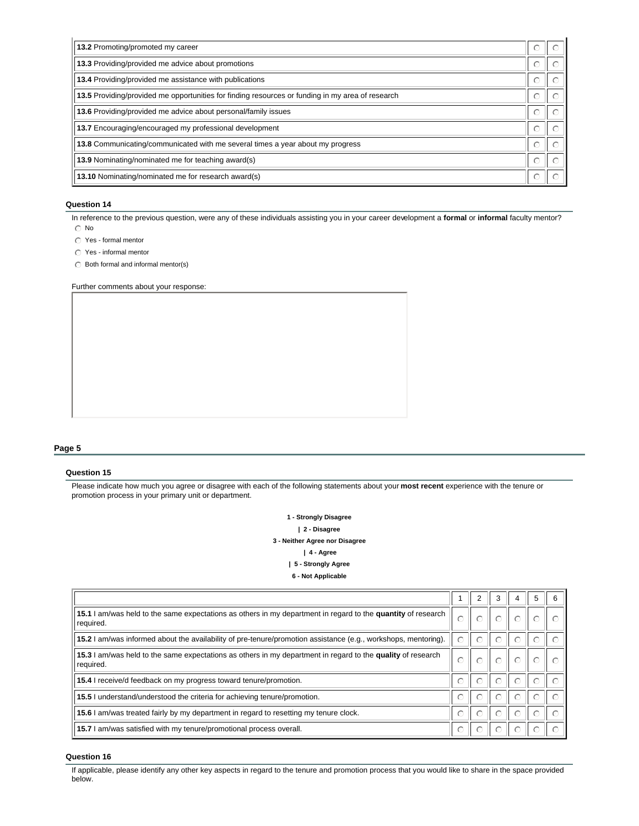| 13.2 Promoting/promoted my career                                                                |           |  |
|--------------------------------------------------------------------------------------------------|-----------|--|
| 13.3 Providing/provided me advice about promotions                                               | $\circ$   |  |
| 13.4 Providing/provided me assistance with publications                                          | $\bigcap$ |  |
| 13.5 Providing/provided me opportunities for finding resources or funding in my area of research | $\bigcap$ |  |
| 13.6 Providing/provided me advice about personal/family issues                                   | ⊙         |  |
| 13.7 Encouraging/encouraged my professional development                                          | $\bigcap$ |  |
| 13.8 Communicating/communicated with me several times a year about my progress                   | ∩         |  |
| 13.9 Nominating/nominated me for teaching award(s)                                               | ⊙         |  |
| 13.10 Nominating/nominated me for research award(s)                                              | $\bigcap$ |  |

In reference to the previous question, were any of these individuals assisting you in your career development a **formal** or **informal** faculty mentor?

- $\odot$  No
- $\bigcirc$  Yes formal mentor
- $\textcircled{r}$  Yes informal mentor
- $\bigcirc$  Both formal and informal mentor(s)

Further comments about your response:

### **Page 5**

## **Question 15**

Please indicate how much you agree or disagree with each of the following statements about your **most recent** experience with the tenure or promotion process in your primary unit or department.

> **1 - Strongly Disagree | 2 - Disagree 3 - Neither Agree nor Disagree | 4 - Agree | 5 - Strongly Agree**

> > **6 - Not Applicable**

|                                                                                                                           |            | $\overline{2}$ | 3 |  |  |
|---------------------------------------------------------------------------------------------------------------------------|------------|----------------|---|--|--|
| 15.1 I am/was held to the same expectations as others in my department in regard to the quantity of research<br>required. |            |                |   |  |  |
| 15.2 I am/was informed about the availability of pre-tenure/promotion assistance (e.g., workshops, mentoring).            | $\circ$    | ⊙              | ∩ |  |  |
| 15.3 I am/was held to the same expectations as others in my department in regard to the quality of research<br>required.  | $\bigcirc$ |                |   |  |  |
| 15.4 I receive/d feedback on my progress toward tenure/promotion.                                                         | $\bigcap$  | ⊙              | ⊙ |  |  |
| 15.5 I understand/understood the criteria for achieving tenure/promotion.                                                 | $\bigcirc$ | $\odot$        | ∩ |  |  |
| 15.6 I am/was treated fairly by my department in regard to resetting my tenure clock.                                     | $\circ$    | $\circ$        | ⊙ |  |  |
| 15.7 I am/was satisfied with my tenure/promotional process overall.                                                       | ⊙          | ⊙              | ∩ |  |  |

### **Question 16**

If applicable, please identify any other key aspects in regard to the tenure and promotion process that you would like to share in the space provided below.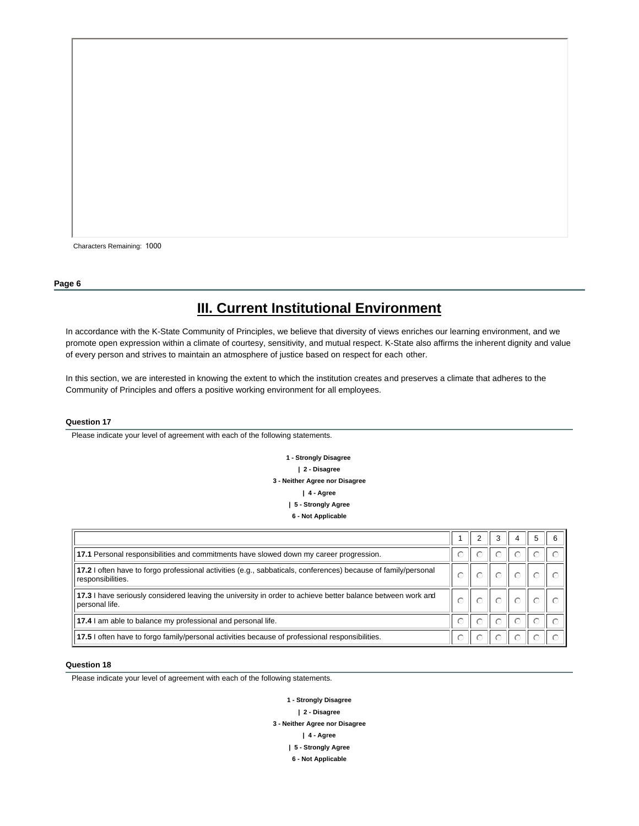Characters Remaining: 1000

#### **Page 6**

# **III. Current Institutional Environment**

In accordance with the K-State Community of Principles, we believe that diversity of views enriches our learning environment, and we promote open expression within a climate of courtesy, sensitivity, and mutual respect. K-State also affirms the inherent dignity and value of every person and strives to maintain an atmosphere of justice based on respect for each other.

In this section, we are interested in knowing the extent to which the institution creates and preserves a climate that adheres to the Community of Principles and offers a positive working environment for all employees.

#### **Question 17**

Please indicate your level of agreement with each of the following statements.

**1 - Strongly Disagree | 2 - Disagree 3 - Neither Agree nor Disagree | 4 - Agree | 5 - Strongly Agree 6 - Not Applicable**

| 17.1 Personal responsibilities and commitments have slowed down my career progression.                                              | 0 | $\odot$ |  |  |
|-------------------------------------------------------------------------------------------------------------------------------------|---|---------|--|--|
| 17.2 I often have to forgo professional activities (e.g., sabbaticals, conferences) because of family/personal<br>responsibilities. |   |         |  |  |
| 17.3 I have seriously considered leaving the university in order to achieve better balance between work and<br>personal life.       |   |         |  |  |
| 17.4 I am able to balance my professional and personal life.                                                                        | ∩ |         |  |  |
| 17.5 I often have to forgo family/personal activities because of professional responsibilities.                                     |   |         |  |  |

### **Question 18**

Please indicate your level of agreement with each of the following statements.

**1 - Strongly Disagree | 2 - Disagree 3 - Neither Agree nor Disagree | 4 - Agree | 5 - Strongly Agree 6 - Not Applicable**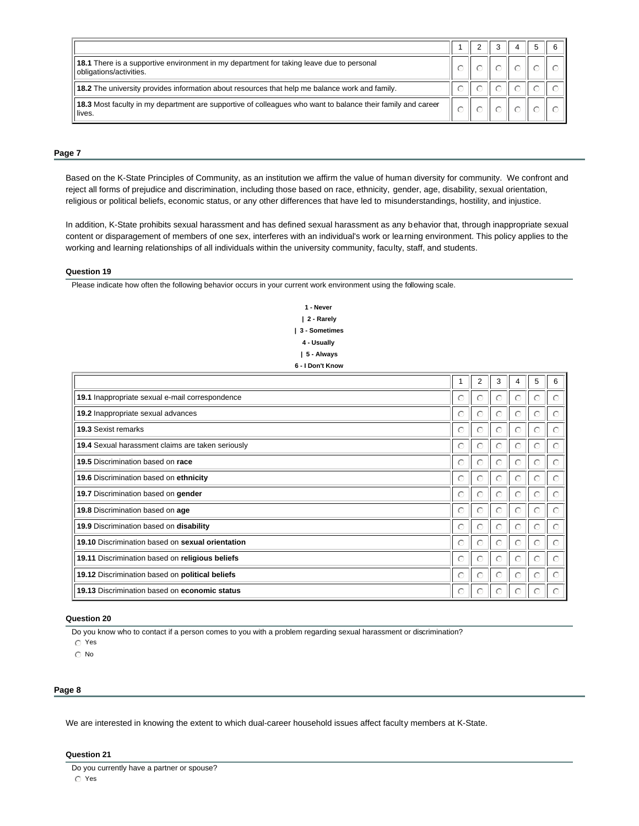| <b>18.1</b> There is a supportive environment in my department for taking leave due to personal<br>obligations/activities. |  |  |  |
|----------------------------------------------------------------------------------------------------------------------------|--|--|--|
| 18.2 The university provides information about resources that help me balance work and family.                             |  |  |  |
| 18.3 Most faculty in my department are supportive of colleagues who want to balance their family and career<br>lives.      |  |  |  |

#### **Page 7**

Based on the K-State Principles of Community, as an institution we affirm the value of human diversity for community. We confront and reject all forms of prejudice and discrimination, including those based on race, ethnicity, gender, age, disability, sexual orientation, religious or political beliefs, economic status, or any other differences that have led to misunderstandings, hostility, and injustice.

In addition, K-State prohibits sexual harassment and has defined sexual harassment as any behavior that, through inappropriate sexual content or disparagement of members of one sex, interferes with an individual's work or learning environment. This policy applies to the working and learning relationships of all individuals within the university community, faculty, staff, and students.

#### **Question 19**

Please indicate how often the following behavior occurs in your current work environment using the following scale.

**1 - Never | 2 - Rarely | 3 - Sometimes 4 - Usually | 5 - Always 6 - I Don't Know**

|                                                   |           | $\overline{2}$ | 3 | 4 | 5         | 6 |
|---------------------------------------------------|-----------|----------------|---|---|-----------|---|
| 19.1 Inappropriate sexual e-mail correspondence   | $\bigcap$ | C              |   |   |           |   |
| 19.2 Inappropriate sexual advances                | ⊙         | ⊙              |   |   |           |   |
| 19.3 Sexist remarks                               | $\bigcap$ | $\odot$        | C |   | ⊙         |   |
| 19.4 Sexual harassment claims are taken seriously | $\odot$   | $\odot$        |   |   |           |   |
| 19.5 Discrimination based on race                 | ⊙         | C              |   |   |           |   |
| 19.6 Discrimination based on ethnicity            | $\bigcap$ | ∩              |   |   | ∩         |   |
| 19.7 Discrimination based on gender               | ⊙         | $\circ$        | € |   | $(\cdot)$ |   |
| 19.8 Discrimination based on age                  | $\bigcap$ | C              |   |   |           |   |
| 19.9 Discrimination based on disability           | $\odot$   | $\circ$        | C |   |           |   |
| 19.10 Discrimination based on sexual orientation  | $\bigcap$ | ∩              | C | ∩ | $\bigcap$ |   |
| 19.11 Discrimination based on religious beliefs   | $\odot$   | ⊙              |   |   |           |   |
| 19.12 Discrimination based on political beliefs   | ⊙         | $\odot$        | C | ∩ | ⊙         |   |
| 19.13 Discrimination based on economic status     | ⊙         | ⊙              |   |   |           |   |

#### **Question 20**

Do you know who to contact if a person comes to you with a problem regarding sexual harassment or discrimination?

 $\circ$  Yes

 $\odot$  No

#### **Page 8**

We are interested in knowing the extent to which dual-career household issues affect faculty members at K-State.

### **Question 21**

Do you currently have a partner or spouse?  $\circ$  Yes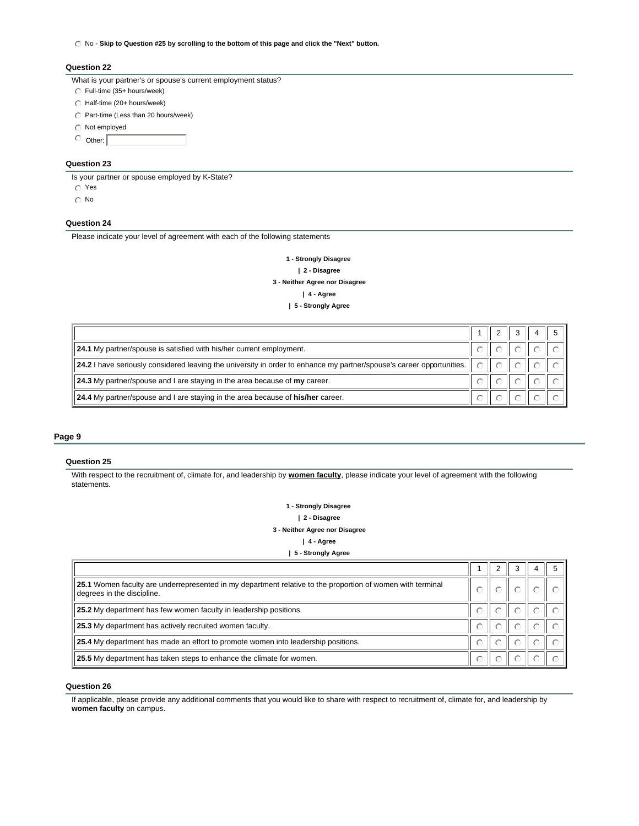$\odot$  No - Skip to Question #25 by scrolling to the bottom of this page and click the "Next" button.

#### **Question 22**

- What is your partner's or spouse's current employment status?
- $\odot$  Full-time (35+ hours/week)
- $\bigcirc$  Half-time (20+ hours/week)
- $\odot$  Part-time (Less than 20 hours/week)
- $\odot$  Not employed
- $\circ$  Other:

### **Question 23**

Is your partner or spouse employed by K-State?

- $\circ$  Yes
- $\odot$  No

### **Question 24**

Please indicate your level of agreement with each of the following statements

**1 - Strongly Disagree | 2 - Disagree 3 - Neither Agree nor Disagree | 4 - Agree | 5 - Strongly Agree** 

| 24.1 My partner/spouse is satisfied with his/her current employment.                                                  |        |  |  |
|-----------------------------------------------------------------------------------------------------------------------|--------|--|--|
| 24.2 I have seriously considered leaving the university in order to enhance my partner/spouse's career opportunities. | $\cap$ |  |  |
| 24.3 My partner/spouse and I are staying in the area because of my career.                                            |        |  |  |
| 24.4 My partner/spouse and I are staying in the area because of his/her career.                                       |        |  |  |

#### **Page 9**

#### **Question 25**

With respect to the recruitment of, climate for, and leadership by **women faculty**, please indicate your level of agreement with the following statements.

> **1 - Strongly Disagree | 2 - Disagree 3 - Neither Agree nor Disagree | 4 - Agree**

> > **| 5 - Strongly Agree**

| 25.1 Women faculty are underrepresented in my department relative to the proportion of women with terminal<br>degrees in the discipline. |  |  |  |
|------------------------------------------------------------------------------------------------------------------------------------------|--|--|--|
| 25.2 My department has few women faculty in leadership positions.                                                                        |  |  |  |
| 25.3 My department has actively recruited women faculty.                                                                                 |  |  |  |
| 25.4 My department has made an effort to promote women into leadership positions.                                                        |  |  |  |
| 25.5 My department has taken steps to enhance the climate for women.                                                                     |  |  |  |

### **Question 26**

If applicable, please provide any additional comments that you would like to share with respect to recruitment of, climate for, and leadership by **women faculty** on campus.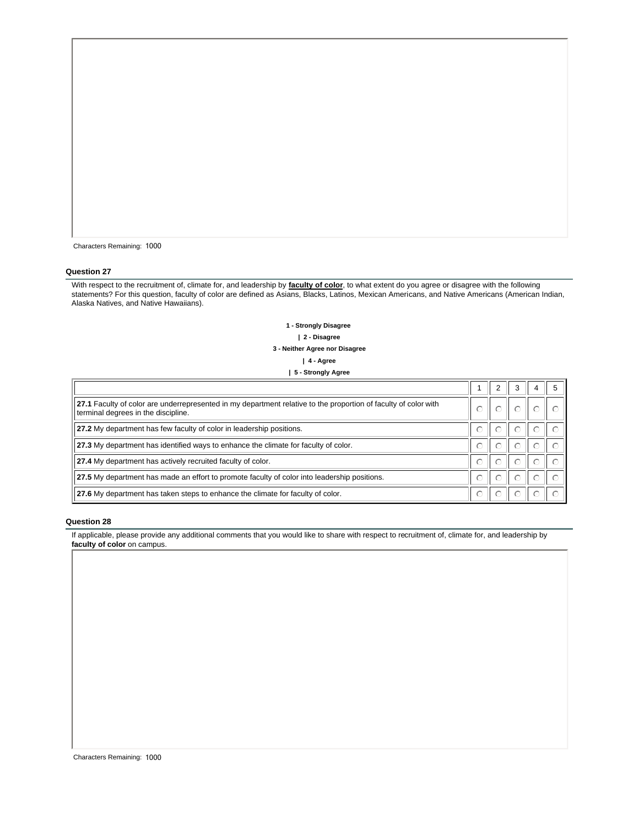| Characters Remaining: 1000 |  |
|----------------------------|--|
|                            |  |

With respect to the recruitment of, climate for, and leadership by **faculty of color**, to what extent do you agree or disagree with the following statements? For this question, faculty of color are defined as Asians, Blacks, Latinos, Mexican Americans, and Native Americans (American Indian, Alaska Natives, and Native Hawaiians).

> **1 - Strongly Disagree | 2 - Disagree 3 - Neither Agree nor Disagree | 4 - Agree | 5 - Strongly Agree**

| 27.1 Faculty of color are underrepresented in my department relative to the proportion of faculty of color with<br>terminal degrees in the discipline. |  |  |  |
|--------------------------------------------------------------------------------------------------------------------------------------------------------|--|--|--|
| 27.2 My department has few faculty of color in leadership positions.                                                                                   |  |  |  |
| 27.3 My department has identified ways to enhance the climate for faculty of color.                                                                    |  |  |  |
| 27.4 My department has actively recruited faculty of color.                                                                                            |  |  |  |
| 27.5 My department has made an effort to promote faculty of color into leadership positions.                                                           |  |  |  |
| 27.6 My department has taken steps to enhance the climate for faculty of color.                                                                        |  |  |  |

### **Question 28**

If applicable, please provide any additional comments that you would like to share with respect to recruitment of, climate for, and leadership by **faculty of color** on campus.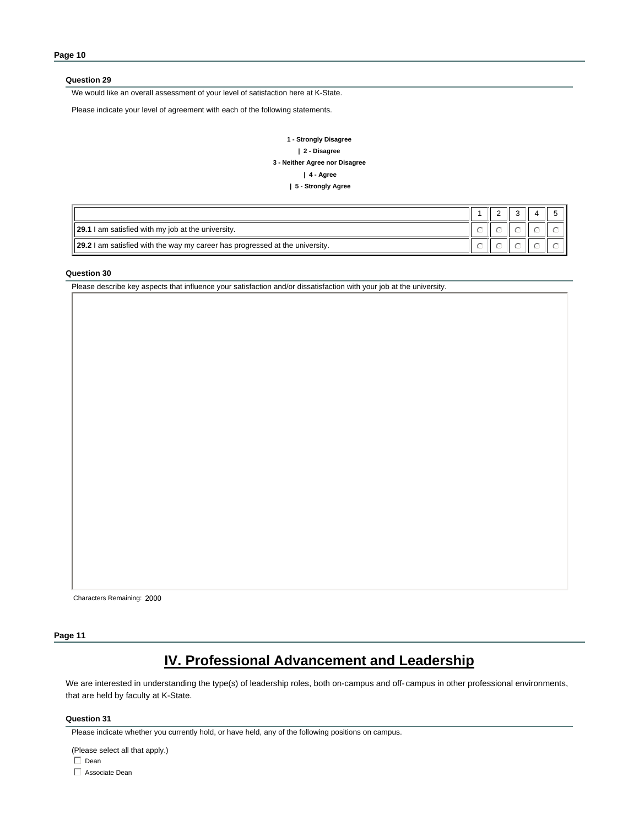We would like an overall assessment of your level of satisfaction here at K-State.

Please indicate your level of agreement with each of the following statements.

### **1 - Strongly Disagree | 2 - Disagree 3 - Neither Agree nor Disagree | 4 - Agree | 5 - Strongly Agree**

| <b>29.1</b> I am satisfied with my job at the university.                           |  |  |  |
|-------------------------------------------------------------------------------------|--|--|--|
| <b>29.2</b> I am satisfied with the way my career has progressed at the university. |  |  |  |

#### **Question 30**

Please describe key aspects that influence your satisfaction and/or dissatisfaction with your job at the university.

Characters Remaining: 2000

### **Page 11**

# **IV. Professional Advancement and Leadership**

We are interested in understanding the type(s) of leadership roles, both on-campus and off-campus in other professional environments, that are held by faculty at K-State.

#### **Question 31**

(Please select all that apply.)

 $\Box$  Dean

 $\Box$  Associate Dean

Please indicate whether you currently hold, or have held, any of the following positions on campus.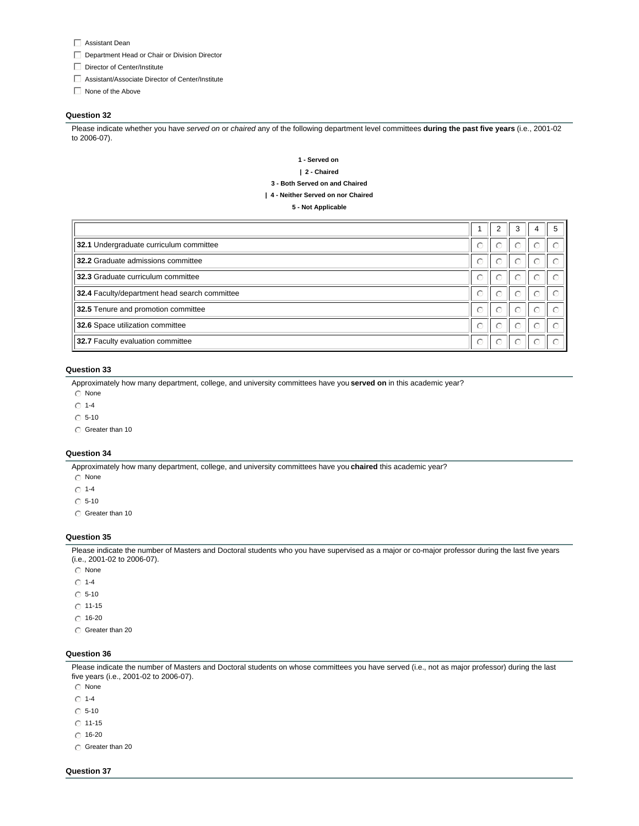- $\Box$  Assistant Dean
- $\Box$  Department Head or Chair or Division Director
- $\Box$  Director of Center/Institute
- $\Box$  Assistant/Associate Director of Center/Institute
- $\Box$  None of the Above

Please indicate whether you have *served on* or *chaired* any of the following department level committees **during the past five years** (i.e., 2001-02 to 2006-07).

### **1 - Served on | 2 - Chaired 3 - Both Served on and Chaired | 4 - Neither Served on nor Chaired**

**5 - Not Applicable**

|                                               |   |           | 3       |           | 5 |
|-----------------------------------------------|---|-----------|---------|-----------|---|
| 32.1 Undergraduate curriculum committee       |   | $\bigcap$ |         | ∩         |   |
| 32.2 Graduate admissions committee            | ∩ | $\bigcap$ | ∩       | ∩         |   |
| 32.3 Graduate curriculum committee            | ∩ | $\bigcap$ | $\circ$ | ∩         |   |
| 32.4 Faculty/department head search committee | ∩ | $\bigcap$ | $\cap$  | $\bigcap$ |   |
| 32.5 Tenure and promotion committee           | ∩ | $\subset$ |         | ∩         |   |
| 32.6 Space utilization committee              | ∩ | $\bigcap$ |         | ◠         |   |
| 32.7 Faculty evaluation committee             | ∩ | $\cap$    | $\circ$ | ∩         |   |

### **Question 33**

Approximately how many department, college, and university committees have you **served on** in this academic year?

- $\odot$  None
- $\odot$  1-4
- $\odot$  5-10
- $\odot$  Greater than 10

#### **Question 34**

Approximately how many department, college, and university committees have you **chaired** this academic year?

- $\odot$  None
- $\odot$  1-4
- $\odot$  5-10
- $\odot$  Greater than 10

#### **Question 35**

Please indicate the number of Masters and Doctoral students who you have supervised as a major or co-major professor during the last five years (i.e., 2001-02 to 2006-07).

- $\odot$  None
- $\odot$  1-4
- $\circ$  5-10
- $\odot$  11-15
- $\degree$  16-20
- $\odot$  Greater than 20

#### **Question 36**

Please indicate the number of Masters and Doctoral students on whose committees you have served (i.e., not as major professor) during the last five years (i.e., 2001-02 to 2006-07).

- $\odot$  None
- $\odot$  1-4
- $\odot$  5-10
- $\odot$  11-15
- $\odot$  16-20
- $\odot$  Greater than 20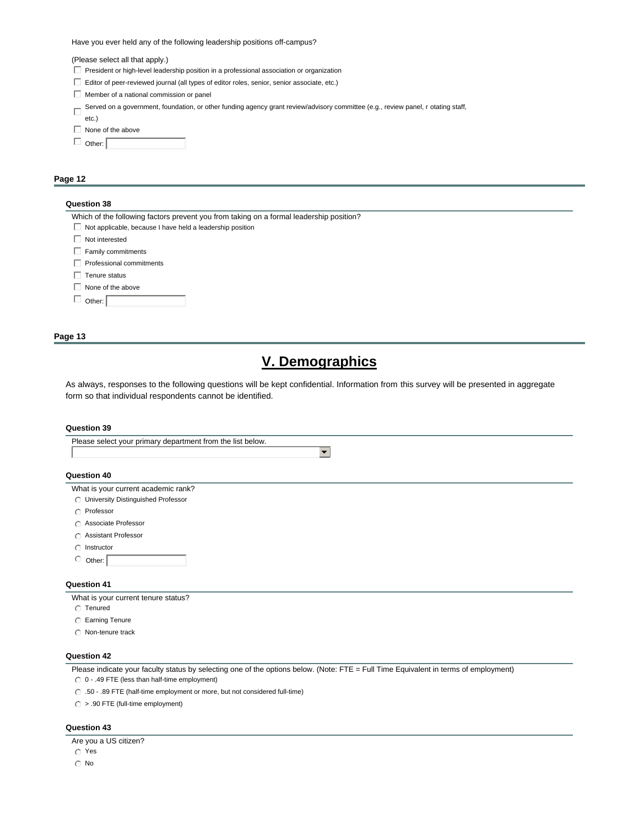Have you ever held any of the following leadership positions off-campus?

(Please select all that apply.)

- $\Box$  President or high-level leadership position in a professional association or organization
- $\Box$  Editor of peer-reviewed journal (all types of editor roles, senior, senior associate, etc.)
- $\Box$  Member of a national commission or panel
- Served on a government, foundation, or other funding agency grant review/advisory committee (e.g., review panel, r otating staff,
- etc.)
- $\Box$  None of the above

| Other: |  |
|--------|--|
|        |  |
|        |  |

### **Page 12**

#### **Question 38**

| Which of the following factors prevent you from taking on a formal leadership position? |
|-----------------------------------------------------------------------------------------|
| Not applicable, because I have held a leadership position                               |
| Not interested                                                                          |
| Family commitments                                                                      |
| Professional commitments                                                                |
| Tenure status                                                                           |
| None of the above                                                                       |
| Other:                                                                                  |
|                                                                                         |

### **Page 13**

# **V. Demographics**

 $\overline{\phantom{0}}$ 

As always, responses to the following questions will be kept confidential. Information from this survey will be presented in aggregate form so that individual respondents cannot be identified.

#### **Question 39**

Please select your primary department from the list below.

#### **Question 40**

- What is your current academic rank?
- **C** University Distinguished Professor
- $\bigcirc$  Professor
- $\odot$  Associate Professor
- **C** Assistant Professor
- $\bigcirc$  Instructor
- $\circ$  Other:

### **Question 41**

What is your current tenure status?

- $\odot$  Tenured
- **C** Earning Tenure
- $\cap$  Non-tenure track

### **Question 42**

Please indicate your faculty status by selecting one of the options below. (Note: FTE = Full Time Equivalent in terms of employment)

 $\odot$  0 - .49 FTE (less than half-time employment)

 $\odot$  .50 - .89 FTE (half-time employment or more, but not considered full-time)

 $\bigcirc$  > .90 FTE (full-time employment)

### **Question 43**

Are you a US citizen?

 $\circ$  Yes  $\odot$  No